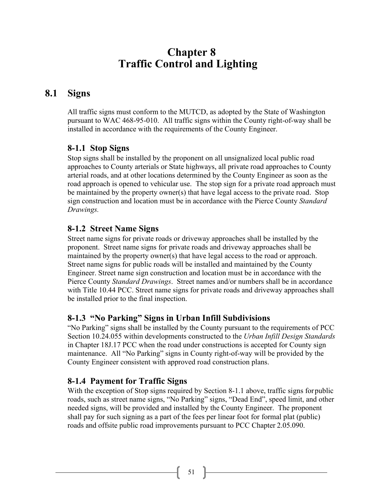# **Chapter 8 Traffic Control and Lighting**

## **8.1 Signs**

All traffic signs must conform to the MUTCD, as adopted by the State of Washington pursuant to WAC 468-95-010. All traffic signs within the County right-of-way shall be installed in accordance with the requirements of the County Engineer.

### **8-1.1 Stop Signs**

Stop signs shall be installed by the proponent on all unsignalized local public road approaches to County arterials or State highways, all private road approaches to County arterial roads, and at other locations determined by the County Engineer as soon as the road approach is opened to vehicular use. The stop sign for a private road approach must be maintained by the property owner(s) that have legal access to the private road. Stop sign construction and location must be in accordance with the Pierce County *Standard Drawings.*

#### **8-1.2 Street Name Signs**

Street name signs for private roads or driveway approaches shall be installed by the proponent. Street name signs for private roads and driveway approaches shall be maintained by the property owner(s) that have legal access to the road or approach. Street name signs for public roads will be installed and maintained by the County Engineer. Street name sign construction and location must be in accordance with the Pierce County *Standard Drawings*. Street names and/or numbers shall be in accordance with Title 10.44 PCC. Street name signs for private roads and driveway approaches shall be installed prior to the final inspection.

### **8-1.3 "No Parking" Signs in Urban Infill Subdivisions**

"No Parking" signs shall be installed by the County pursuant to the requirements of PCC Section 10.24.055 within developments constructed to the *Urban Infill Design Standards* in Chapter 18J.17 PCC when the road under constructions is accepted for County sign maintenance. All "No Parking" signs in County right-of-way will be provided by the County Engineer consistent with approved road construction plans.

### **8-1.4 Payment for Traffic Signs**

With the exception of Stop signs required by Section 8-1.1 above, traffic signs for public roads, such as street name signs, "No Parking" signs, "Dead End", speed limit, and other needed signs, will be provided and installed by the County Engineer. The proponent shall pay for such signing as a part of the fees per linear foot for formal plat (public) roads and offsite public road improvements pursuant to PCC Chapter 2.05.090.

51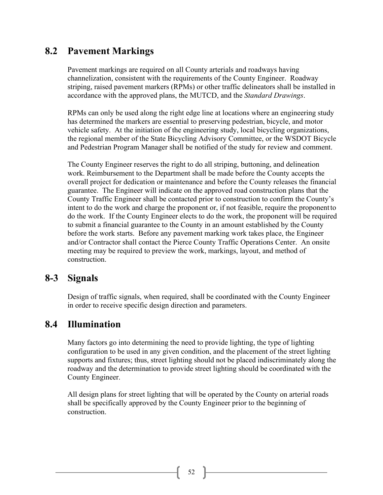## **8.2 Pavement Markings**

Pavement markings are required on all County arterials and roadways having channelization, consistent with the requirements of the County Engineer. Roadway striping, raised pavement markers (RPMs) or other traffic delineators shall be installed in accordance with the approved plans, the MUTCD, and the *Standard Drawings*.

RPMs can only be used along the right edge line at locations where an engineering study has determined the markers are essential to preserving pedestrian, bicycle, and motor vehicle safety. At the initiation of the engineering study, local bicycling organizations, the regional member of the State Bicycling Advisory Committee, or the WSDOT Bicycle and Pedestrian Program Manager shall be notified of the study for review and comment.

The County Engineer reserves the right to do all striping, buttoning, and delineation work. Reimbursement to the Department shall be made before the County accepts the overall project for dedication or maintenance and before the County releases the financial guarantee. The Engineer will indicate on the approved road construction plans that the County Traffic Engineer shall be contacted prior to construction to confirm the County's intent to do the work and charge the proponent or, if not feasible, require the proponentto do the work. If the County Engineer elects to do the work, the proponent will be required to submit a financial guarantee to the County in an amount established by the County before the work starts. Before any pavement marking work takes place, the Engineer and/or Contractor shall contact the Pierce County Traffic Operations Center. An onsite meeting may be required to preview the work, markings, layout, and method of construction.

### **8-3 Signals**

Design of traffic signals, when required, shall be coordinated with the County Engineer in order to receive specific design direction and parameters.

## **8.4 Illumination**

Many factors go into determining the need to provide lighting, the type of lighting configuration to be used in any given condition, and the placement of the street lighting supports and fixtures; thus, street lighting should not be placed indiscriminately along the roadway and the determination to provide street lighting should be coordinated with the County Engineer.

All design plans for street lighting that will be operated by the County on arterial roads shall be specifically approved by the County Engineer prior to the beginning of construction.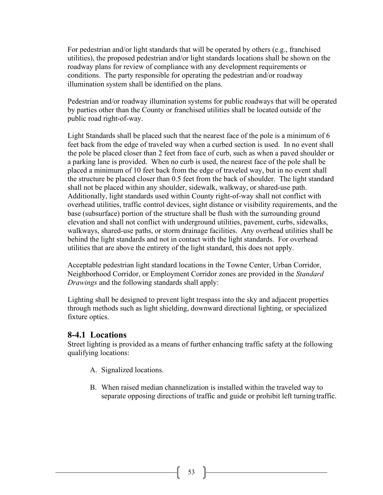For pedestrian and/or light standards that will be operated by others (e.g., franchised utilities), the proposed pedestrian and/or light standards locations shall be shown on the roadway plans for review of compliance with any development requirements or conditions. The party responsible for operating the pedestrian and/or roadway illumination system shall be identified on the plans.

Pedestrian and/or roadway illumination systems for public roadways that will be operated by parties other than the County or franchised utilities shall be located outside of the public road right-of-way.

Light Standards shall be placed such that the nearest face of the pole is a minimum of 6 feet back from the edge of traveled way when a curbed section is used. In no event shall the pole be placed closer than 2 feet from face of curb, such as when a paved shoulder or a parking lane is provided. When no curb is used, the nearest face of the pole shall be placed a minimum of 10 feet back from the edge of traveled way, but in no event shall the structure be placed closer than 0.5 feet from the back of shoulder. The light standard shall not be placed within any shoulder, sidewalk, walkway, or shared-use path. Additionally, light standards used within County right-of-way shall not conflict with overhead utilities, traffic control devices, sight distance or visibility requirements, and the base (subsurface) portion of the structure shall be flush with the surrounding ground elevation and shall not conflict with underground utilities, pavement, curbs, sidewalks, walkways, shared-use paths, or storm drainage facilities. Any overhead utilities shall be behind the light standards and not in contact with the light standards. For overhead utilities that are above the entirety of the light standard, this does not apply.

Acceptable pedestrian light standard locations in the Towne Center, Urban Corridor, Neighborhood Corridor, or Employment Corridor zones are provided in the *Standard Drawings* and the following standards shall apply:

Lighting shall be designed to prevent light trespass into the sky and adjacent properties through methods such as light shielding, downward directional lighting, or specialized fixture optics.

#### **8-4.1 Locations**

Street lighting is provided as a means of further enhancing traffic safety at the following qualifying locations:

- A. Signalized locations.
- B. When raised median channelization is installed within the traveled way to separate opposing directions of traffic and guide or prohibit left turningtraffic.

53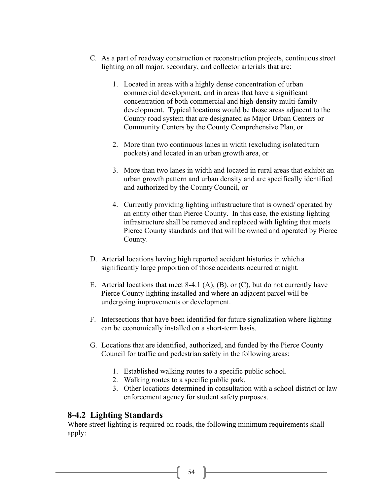- C. As a part of roadway construction or reconstruction projects, continuousstreet lighting on all major, secondary, and collector arterials that are:
	- 1. Located in areas with a highly dense concentration of urban commercial development, and in areas that have a significant concentration of both commercial and high-density multi-family development. Typical locations would be those areas adjacent to the County road system that are designated as Major Urban Centers or Community Centers by the County Comprehensive Plan, or
	- 2. More than two continuous lanes in width (excluding isolated turn pockets) and located in an urban growth area, or
	- 3. More than two lanes in width and located in rural areas that exhibit an urban growth pattern and urban density and are specifically identified and authorized by the County Council, or
	- 4. Currently providing lighting infrastructure that is owned/ operated by an entity other than Pierce County. In this case, the existing lighting infrastructure shall be removed and replaced with lighting that meets Pierce County standards and that will be owned and operated by Pierce County.
- D. Arterial locations having high reported accident histories in which a significantly large proportion of those accidents occurred at night.
- E. Arterial locations that meet 8-4.1 (A), (B), or (C), but do not currently have Pierce County lighting installed and where an adjacent parcel will be undergoing improvements or development.
- F. Intersections that have been identified for future signalization where lighting can be economically installed on a short-term basis.
- G. Locations that are identified, authorized, and funded by the Pierce County Council for traffic and pedestrian safety in the following areas:
	- 1. Established walking routes to a specific public school.
	- 2. Walking routes to a specific public park.
	- 3. Other locations determined in consultation with a school district or law enforcement agency for student safety purposes.

### **8-4.2 Lighting Standards**

Where street lighting is required on roads, the following minimum requirements shall apply:

 $54$  ]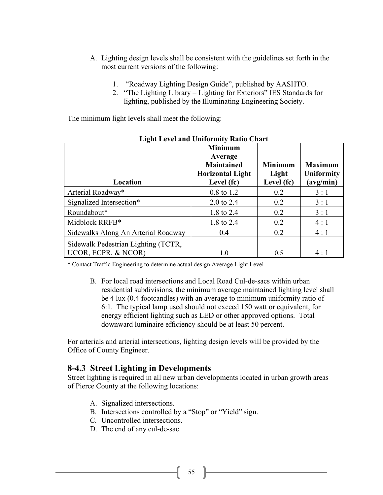- A. Lighting design levels shall be consistent with the guidelines set forth in the most current versions of the following:
	- 1. "Roadway Lighting Design Guide", published by AASHTO.
	- 2. "The Lighting Library Lighting for Exteriors" IES Standards for lighting, published by the Illuminating Engineering Society.

The minimum light levels shall meet the following:

| Light Level and Uniformity Ratio Chart |                         |                |                |
|----------------------------------------|-------------------------|----------------|----------------|
|                                        | <b>Minimum</b>          |                |                |
|                                        | Average                 |                |                |
|                                        | <b>Maintained</b>       | <b>Minimum</b> | <b>Maximum</b> |
|                                        | <b>Horizontal Light</b> | Light          | Uniformity     |
| Location                               | Level (fc)              | Level (fc)     | (avg/min)      |
| Arterial Roadway*                      | 0.8 to 1.2              | 0.2            | 3:1            |
| Signalized Intersection*               | $2.0 \text{ to } 2.4$   | 0.2            | 3:1            |
| Roundabout*                            | 1.8 to 2.4              | 0.2            | 3:1            |
| Midblock RRFB*                         | 1.8 to 2.4              | 0.2            | 4:1            |
| Sidewalks Along An Arterial Roadway    | 0.4                     | 0.2            | 4:1            |
| Sidewalk Pedestrian Lighting (TCTR,    |                         |                |                |
| UCOR, ECPR, & NCOR)                    | 1.0                     | 0.5            | 4:1            |

**Light Level and Uniformity Ratio Chart**

\* Contact Traffic Engineering to determine actual design Average Light Level

B. For local road intersections and Local Road Cul-de-sacs within urban residential subdivisions, the minimum average maintained lighting level shall be 4 lux (0.4 footcandles) with an average to minimum uniformity ratio of 6:1. The typical lamp used should not exceed 150 watt or equivalent, for energy efficient lighting such as LED or other approved options. Total downward luminaire efficiency should be at least 50 percent.

For arterials and arterial intersections, lighting design levels will be provided by the Office of County Engineer.

#### **8-4.3 Street Lighting in Developments**

Street lighting is required in all new urban developments located in urban growth areas of Pierce County at the following locations:

- A. Signalized intersections.
- B. Intersections controlled by a "Stop" or "Yield" sign.
- C. Uncontrolled intersections.
- D. The end of any cul-de-sac.

55